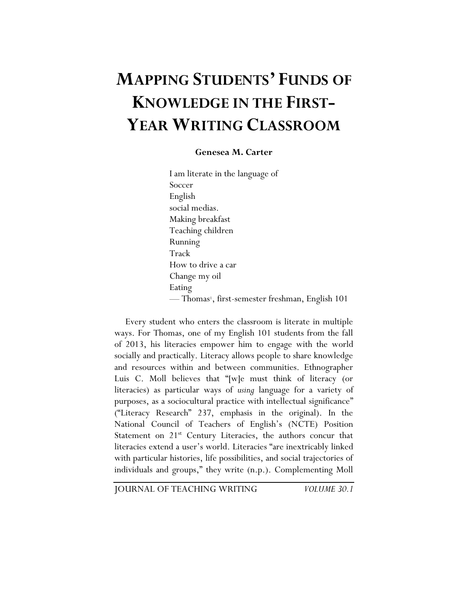# **MAPPING STUDENTS' FUNDS OF KNOWLEDGE IN THE FIRST-YEAR WRITING CLASSROOM**

## **Genesea M. Carter**

I am literate in the language of Soccer English social medias. Making breakfast Teaching children Running Track How to drive a car Change my oil Eating  $-$  Thomas<sup>1</sup>, first-semester freshman, English 101

Every student who enters the classroom is literate in multiple ways. For Thomas, one of my English 101 students from the fall of 2013, his literacies empower him to engage with the world socially and practically. Literacy allows people to share knowledge and resources within and between communities. Ethnographer Luis C. Moll believes that "[w]e must think of literacy (or literacies) as particular ways of *using* language for a variety of purposes, as a sociocultural practice with intellectual significance" ("Literacy Research" 237, emphasis in the original). In the National Council of Teachers of English's (NCTE) Position Statement on  $21<sup>st</sup>$  Century Literacies, the authors concur that literacies extend a user's world. Literacies "are inextricably linked with particular histories, life possibilities, and social trajectories of individuals and groups," they write (n.p.). Complementing Moll

JOURNAL OF TEACHING WRITING *VOLUME 30.1*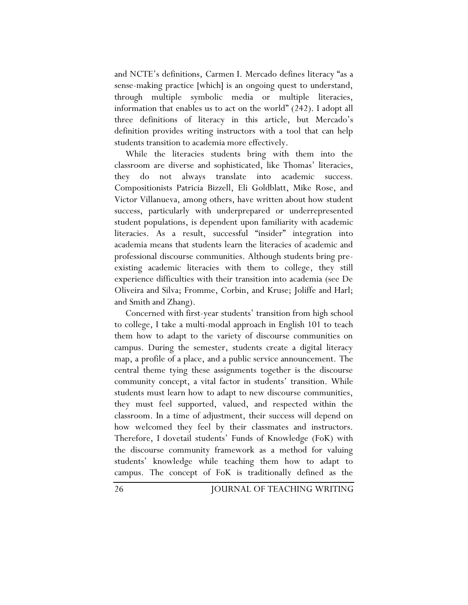and NCTE's definitions, Carmen I. Mercado defines literacy "as a sense-making practice [which] is an ongoing quest to understand, through multiple symbolic media or multiple literacies, information that enables us to act on the world" (242). I adopt all three definitions of literacy in this article, but Mercado's definition provides writing instructors with a tool that can help students transition to academia more effectively.

While the literacies students bring with them into the classroom are diverse and sophisticated, like Thomas' literacies, they do not always translate into academic success. Compositionists Patricia Bizzell, Eli Goldblatt, Mike Rose, and Victor Villanueva, among others, have written about how student success, particularly with underprepared or underrepresented student populations, is dependent upon familiarity with academic literacies. As a result, successful "insider" integration into academia means that students learn the literacies of academic and professional discourse communities. Although students bring preexisting academic literacies with them to college, they still experience difficulties with their transition into academia (see De Oliveira and Silva; Fromme, Corbin, and Kruse; Joliffe and Harl; and Smith and Zhang).

Concerned with first-year students' transition from high school to college, I take a multi-modal approach in English 101 to teach them how to adapt to the variety of discourse communities on campus. During the semester, students create a digital literacy map, a profile of a place, and a public service announcement. The central theme tying these assignments together is the discourse community concept, a vital factor in students' transition. While students must learn how to adapt to new discourse communities, they must feel supported, valued, and respected within the classroom. In a time of adjustment, their success will depend on how welcomed they feel by their classmates and instructors. Therefore, I dovetail students' Funds of Knowledge (FoK) with the discourse community framework as a method for valuing students' knowledge while teaching them how to adapt to campus. The concept of FoK is traditionally defined as the

26 JOURNAL OF TEACHING WRITING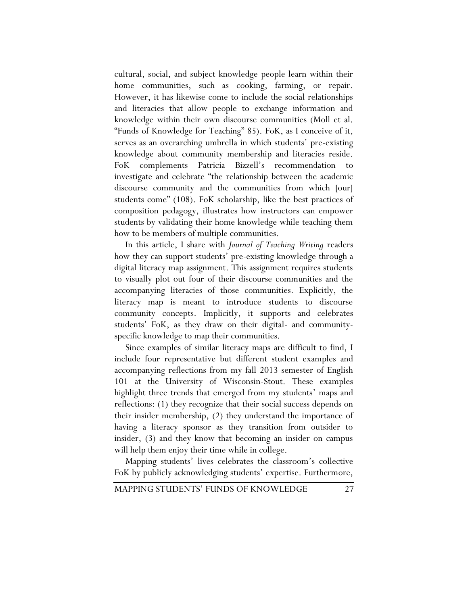cultural, social, and subject knowledge people learn within their home communities, such as cooking, farming, or repair. However, it has likewise come to include the social relationships and literacies that allow people to exchange information and knowledge within their own discourse communities (Moll et al. "Funds of Knowledge for Teaching" 85). FoK, as I conceive of it, serves as an overarching umbrella in which students' pre-existing knowledge about community membership and literacies reside. FoK complements Patricia Bizzell's recommendation to investigate and celebrate "the relationship between the academic discourse community and the communities from which [our] students come" (108). FoK scholarship, like the best practices of composition pedagogy, illustrates how instructors can empower students by validating their home knowledge while teaching them how to be members of multiple communities.

In this article, I share with *Journal of Teaching Writing* readers how they can support students' pre-existing knowledge through a digital literacy map assignment. This assignment requires students to visually plot out four of their discourse communities and the accompanying literacies of those communities. Explicitly, the literacy map is meant to introduce students to discourse community concepts. Implicitly, it supports and celebrates students' FoK, as they draw on their digital- and communityspecific knowledge to map their communities.

Since examples of similar literacy maps are difficult to find, I include four representative but different student examples and accompanying reflections from my fall 2013 semester of English 101 at the University of Wisconsin-Stout. These examples highlight three trends that emerged from my students' maps and reflections: (1) they recognize that their social success depends on their insider membership, (2) they understand the importance of having a literacy sponsor as they transition from outsider to insider, (3) and they know that becoming an insider on campus will help them enjoy their time while in college.

Mapping students' lives celebrates the classroom's collective FoK by publicly acknowledging students' expertise. Furthermore,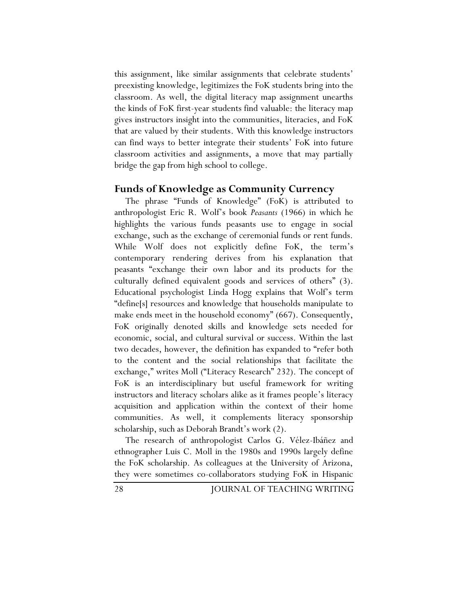this assignment, like similar assignments that celebrate students' preexisting knowledge, legitimizes the FoK students bring into the classroom. As well, the digital literacy map assignment unearths the kinds of FoK first-year students find valuable: the literacy map gives instructors insight into the communities, literacies, and FoK that are valued by their students. With this knowledge instructors can find ways to better integrate their students' FoK into future classroom activities and assignments, a move that may partially bridge the gap from high school to college.

# **Funds of Knowledge as Community Currency**

The phrase "Funds of Knowledge" (FoK) is attributed to anthropologist Eric R. Wolf's book *Peasants* (1966) in which he highlights the various funds peasants use to engage in social exchange, such as the exchange of ceremonial funds or rent funds. While Wolf does not explicitly define FoK, the term's contemporary rendering derives from his explanation that peasants "exchange their own labor and its products for the culturally defined equivalent goods and services of others" (3). Educational psychologist Linda Hogg explains that Wolf's term "define[s] resources and knowledge that households manipulate to make ends meet in the household economy" (667). Consequently, FoK originally denoted skills and knowledge sets needed for economic, social, and cultural survival or success. Within the last two decades, however, the definition has expanded to "refer both to the content and the social relationships that facilitate the exchange," writes Moll ("Literacy Research" 232). The concept of FoK is an interdisciplinary but useful framework for writing instructors and literacy scholars alike as it frames people's literacy acquisition and application within the context of their home communities. As well, it complements literacy sponsorship scholarship, such as Deborah Brandt's work (2).

The research of anthropologist Carlos G. Vélez-Ibáñez and ethnographer Luis C. Moll in the 1980s and 1990s largely define the FoK scholarship. As colleagues at the University of Arizona, they were sometimes co-collaborators studying FoK in Hispanic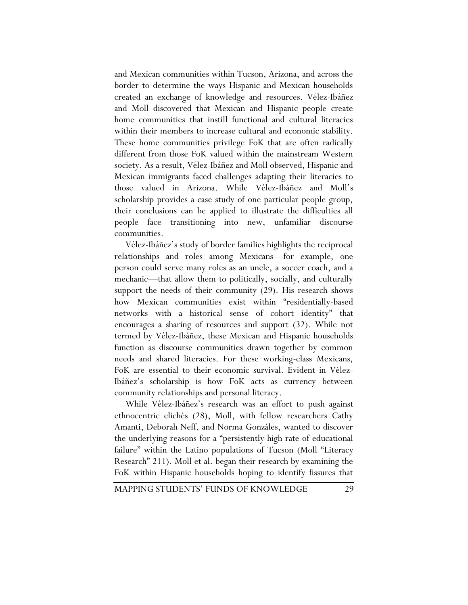and Mexican communities within Tucson, Arizona, and across the border to determine the ways Hispanic and Mexican households created an exchange of knowledge and resources. Vélez-Ibáñez and Moll discovered that Mexican and Hispanic people create home communities that instill functional and cultural literacies within their members to increase cultural and economic stability. These home communities privilege FoK that are often radically different from those FoK valued within the mainstream Western society. As a result, Vélez-Ibáñez and Moll observed, Hispanic and Mexican immigrants faced challenges adapting their literacies to those valued in Arizona. While Vélez-Ibáñez and Moll's scholarship provides a case study of one particular people group, their conclusions can be applied to illustrate the difficulties all people face transitioning into new, unfamiliar discourse communities.

Vélez-Ibáñez's study of border families highlights the reciprocal relationships and roles among Mexicans—for example, one person could serve many roles as an uncle, a soccer coach, and a mechanic—that allow them to politically, socially, and culturally support the needs of their community (29). His research shows how Mexican communities exist within "residentially-based networks with a historical sense of cohort identity" that encourages a sharing of resources and support (32). While not termed by Vélez-Ibáñez, these Mexican and Hispanic households function as discourse communities drawn together by common needs and shared literacies. For these working-class Mexicans, FoK are essential to their economic survival. Evident in Vélez-Ibáñez's scholarship is how FoK acts as currency between community relationships and personal literacy.

While Vélez-Ibáñez's research was an effort to push against ethnocentric clichés (28), Moll, with fellow researchers Cathy Amanti, Deborah Neff, and Norma Gonzáles, wanted to discover the underlying reasons for a "persistently high rate of educational failure" within the Latino populations of Tucson (Moll "Literacy Research" 211). Moll et al. began their research by examining the FoK within Hispanic households hoping to identify fissures that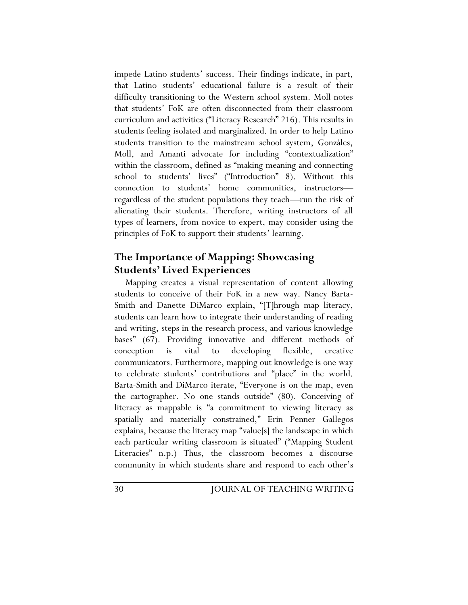impede Latino students' success. Their findings indicate, in part, that Latino students' educational failure is a result of their difficulty transitioning to the Western school system. Moll notes that students' FoK are often disconnected from their classroom curriculum and activities ("Literacy Research" 216). This results in students feeling isolated and marginalized. In order to help Latino students transition to the mainstream school system, Gonzáles, Moll, and Amanti advocate for including "contextualization" within the classroom, defined as "making meaning and connecting school to students' lives" ("Introduction" 8). Without this connection to students' home communities, instructors regardless of the student populations they teach—run the risk of alienating their students. Therefore, writing instructors of all types of learners, from novice to expert, may consider using the principles of FoK to support their students' learning.

# **The Importance of Mapping: Showcasing Students' Lived Experiences**

Mapping creates a visual representation of content allowing students to conceive of their FoK in a new way. Nancy Barta-Smith and Danette DiMarco explain, "[T]hrough map literacy, students can learn how to integrate their understanding of reading and writing, steps in the research process, and various knowledge bases" (67). Providing innovative and different methods of conception is vital to developing flexible, creative communicators. Furthermore, mapping out knowledge is one way to celebrate students' contributions and "place" in the world. Barta-Smith and DiMarco iterate, "Everyone is on the map, even the cartographer. No one stands outside" (80). Conceiving of literacy as mappable is "a commitment to viewing literacy as spatially and materially constrained," Erin Penner Gallegos explains, because the literacy map "value[s] the landscape in which each particular writing classroom is situated" ("Mapping Student Literacies" n.p.) Thus, the classroom becomes a discourse community in which students share and respond to each other's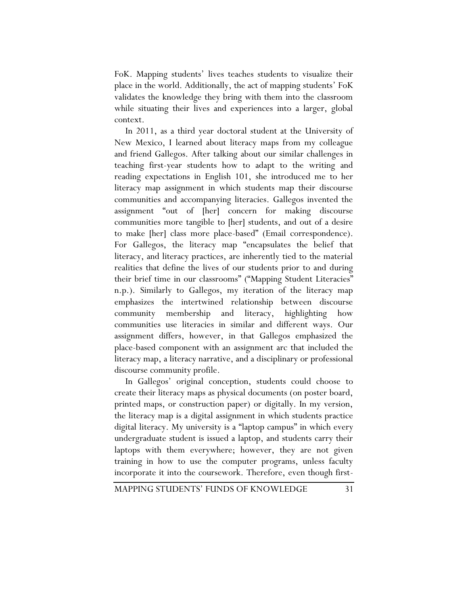FoK. Mapping students' lives teaches students to visualize their place in the world. Additionally, the act of mapping students' FoK validates the knowledge they bring with them into the classroom while situating their lives and experiences into a larger, global context.

In 2011, as a third year doctoral student at the University of New Mexico, I learned about literacy maps from my colleague and friend Gallegos. After talking about our similar challenges in teaching first-year students how to adapt to the writing and reading expectations in English 101, she introduced me to her literacy map assignment in which students map their discourse communities and accompanying literacies. Gallegos invented the assignment "out of [her] concern for making discourse communities more tangible to [her] students, and out of a desire to make [her] class more place-based" (Email correspondence). For Gallegos, the literacy map "encapsulates the belief that literacy, and literacy practices, are inherently tied to the material realities that define the lives of our students prior to and during their brief time in our classrooms" ("Mapping Student Literacies" n.p.). Similarly to Gallegos, my iteration of the literacy map emphasizes the intertwined relationship between discourse community membership and literacy, highlighting how communities use literacies in similar and different ways. Our assignment differs, however, in that Gallegos emphasized the place-based component with an assignment arc that included the literacy map, a literacy narrative, and a disciplinary or professional discourse community profile.

In Gallegos' original conception, students could choose to create their literacy maps as physical documents (on poster board, printed maps, or construction paper) or digitally. In my version, the literacy map is a digital assignment in which students practice digital literacy. My university is a "laptop campus" in which every undergraduate student is issued a laptop, and students carry their laptops with them everywhere; however, they are not given training in how to use the computer programs, unless faculty incorporate it into the coursework. Therefore, even though first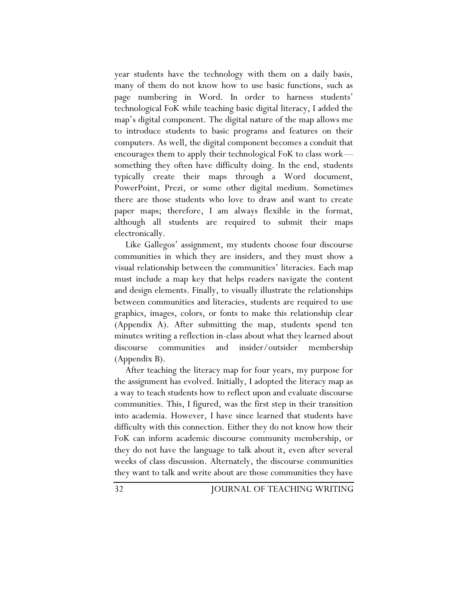year students have the technology with them on a daily basis, many of them do not know how to use basic functions, such as page numbering in Word. In order to harness students' technological FoK while teaching basic digital literacy, I added the map's digital component. The digital nature of the map allows me to introduce students to basic programs and features on their computers. As well, the digital component becomes a conduit that encourages them to apply their technological FoK to class work something they often have difficulty doing. In the end, students typically create their maps through a Word document, PowerPoint, Prezi, or some other digital medium. Sometimes there are those students who love to draw and want to create paper maps; therefore, I am always flexible in the format, although all students are required to submit their maps electronically.

Like Gallegos' assignment, my students choose four discourse communities in which they are insiders, and they must show a visual relationship between the communities' literacies. Each map must include a map key that helps readers navigate the content and design elements. Finally, to visually illustrate the relationships between communities and literacies, students are required to use graphics, images, colors, or fonts to make this relationship clear (Appendix A). After submitting the map, students spend ten minutes writing a reflection in-class about what they learned about discourse communities and insider/outsider membership (Appendix B).

After teaching the literacy map for four years, my purpose for the assignment has evolved. Initially, I adopted the literacy map as a way to teach students how to reflect upon and evaluate discourse communities. This, I figured, was the first step in their transition into academia. However, I have since learned that students have difficulty with this connection. Either they do not know how their FoK can inform academic discourse community membership, or they do not have the language to talk about it, even after several weeks of class discussion. Alternately, the discourse communities they want to talk and write about are those communities they have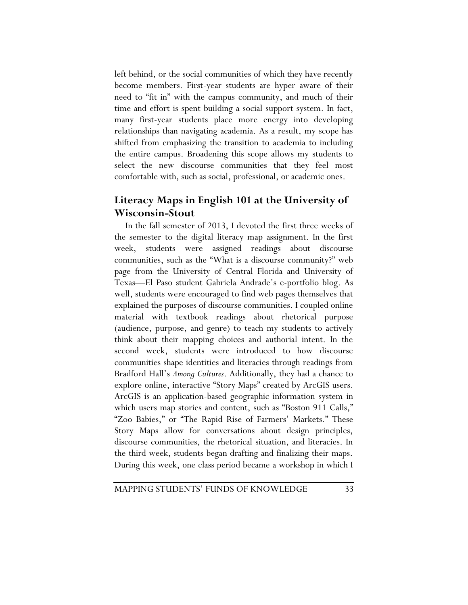left behind, or the social communities of which they have recently become members. First-year students are hyper aware of their need to "fit in" with the campus community, and much of their time and effort is spent building a social support system. In fact, many first-year students place more energy into developing relationships than navigating academia. As a result, my scope has shifted from emphasizing the transition to academia to including the entire campus. Broadening this scope allows my students to select the new discourse communities that they feel most comfortable with, such as social, professional, or academic ones.

# **Literacy Maps in English 101 at the University of Wisconsin-Stout**

In the fall semester of 2013, I devoted the first three weeks of the semester to the digital literacy map assignment. In the first week, students were assigned readings about discourse communities, such as the "What is a discourse community?" web page from the University of Central Florida and University of Texas—El Paso student Gabriela Andrade's e-portfolio blog. As well, students were encouraged to find web pages themselves that explained the purposes of discourse communities. I coupled online material with textbook readings about rhetorical purpose (audience, purpose, and genre) to teach my students to actively think about their mapping choices and authorial intent. In the second week, students were introduced to how discourse communities shape identities and literacies through readings from Bradford Hall's *Among Cultures*. Additionally, they had a chance to explore online, interactive "Story Maps" created by ArcGIS users. ArcGIS is an application-based geographic information system in which users map stories and content, such as "Boston 911 Calls," "Zoo Babies," or "The Rapid Rise of Farmers' Markets." These Story Maps allow for conversations about design principles, discourse communities, the rhetorical situation, and literacies. In the third week, students began drafting and finalizing their maps. During this week, one class period became a workshop in which I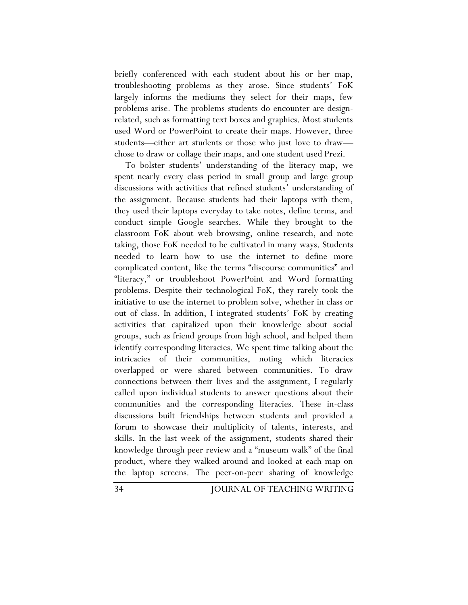briefly conferenced with each student about his or her map, troubleshooting problems as they arose. Since students' FoK largely informs the mediums they select for their maps, few problems arise. The problems students do encounter are designrelated, such as formatting text boxes and graphics. Most students used Word or PowerPoint to create their maps. However, three students—either art students or those who just love to draw chose to draw or collage their maps, and one student used Prezi.

To bolster students' understanding of the literacy map, we spent nearly every class period in small group and large group discussions with activities that refined students' understanding of the assignment. Because students had their laptops with them, they used their laptops everyday to take notes, define terms, and conduct simple Google searches. While they brought to the classroom FoK about web browsing, online research, and note taking, those FoK needed to be cultivated in many ways. Students needed to learn how to use the internet to define more complicated content, like the terms "discourse communities" and "literacy," or troubleshoot PowerPoint and Word formatting problems. Despite their technological FoK, they rarely took the initiative to use the internet to problem solve, whether in class or out of class. In addition, I integrated students' FoK by creating activities that capitalized upon their knowledge about social groups, such as friend groups from high school, and helped them identify corresponding literacies. We spent time talking about the intricacies of their communities, noting which literacies overlapped or were shared between communities. To draw connections between their lives and the assignment, I regularly called upon individual students to answer questions about their communities and the corresponding literacies. These in-class discussions built friendships between students and provided a forum to showcase their multiplicity of talents, interests, and skills. In the last week of the assignment, students shared their knowledge through peer review and a "museum walk" of the final product, where they walked around and looked at each map on the laptop screens. The peer-on-peer sharing of knowledge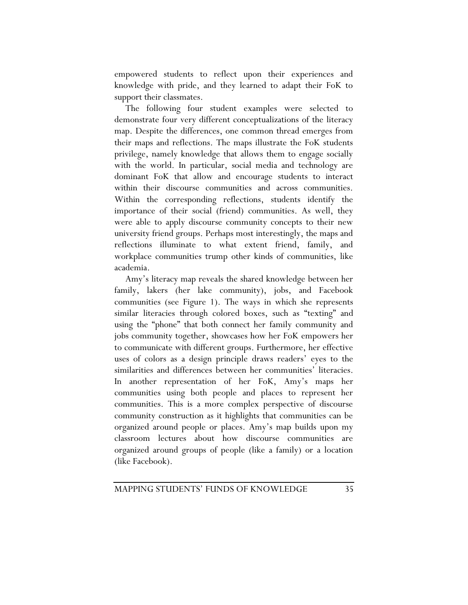empowered students to reflect upon their experiences and knowledge with pride, and they learned to adapt their FoK to support their classmates.

The following four student examples were selected to demonstrate four very different conceptualizations of the literacy map. Despite the differences, one common thread emerges from their maps and reflections. The maps illustrate the FoK students privilege, namely knowledge that allows them to engage socially with the world. In particular, social media and technology are dominant FoK that allow and encourage students to interact within their discourse communities and across communities. Within the corresponding reflections, students identify the importance of their social (friend) communities. As well, they were able to apply discourse community concepts to their new university friend groups. Perhaps most interestingly, the maps and reflections illuminate to what extent friend, family, and workplace communities trump other kinds of communities, like academia.

Amy's literacy map reveals the shared knowledge between her family, lakers (her lake community), jobs, and Facebook communities (see Figure 1). The ways in which she represents similar literacies through colored boxes, such as "texting" and using the "phone" that both connect her family community and jobs community together, showcases how her FoK empowers her to communicate with different groups. Furthermore, her effective uses of colors as a design principle draws readers' eyes to the similarities and differences between her communities' literacies. In another representation of her FoK, Amy's maps her communities using both people and places to represent her communities. This is a more complex perspective of discourse community construction as it highlights that communities can be organized around people or places. Amy's map builds upon my classroom lectures about how discourse communities are organized around groups of people (like a family) or a location (like Facebook).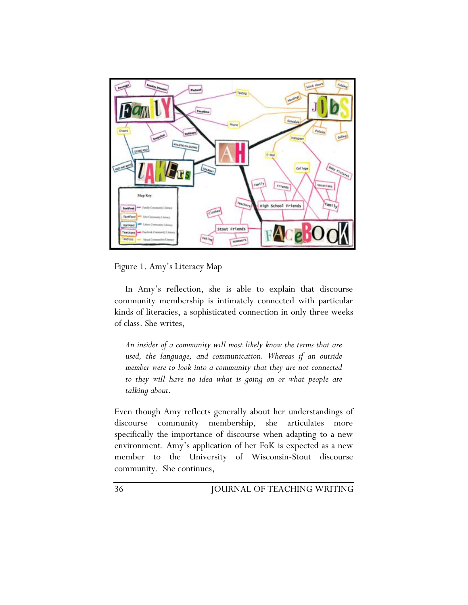

Figure 1. Amy's Literacy Map

In Amy's reflection, she is able to explain that discourse community membership is intimately connected with particular kinds of literacies, a sophisticated connection in only three weeks of class. She writes,

*An insider of a community will most likely know the terms that are used, the language, and communication. Whereas if an outside member were to look into a community that they are not connected to they will have no idea what is going on or what people are talking about.*

Even though Amy reflects generally about her understandings of discourse community membership, she articulates more specifically the importance of discourse when adapting to a new environment. Amy's application of her FoK is expected as a new member to the University of Wisconsin-Stout discourse community. She continues,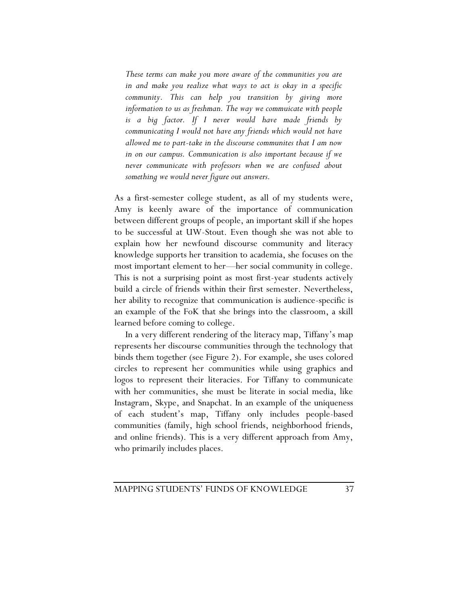*These terms can make you more aware of the communities you are in and make you realize what ways to act is okay in a specific community. This can help you transition by giving more information to us as freshman. The way we commuicate with people is a big factor. If I never would have made friends by communicating I would not have any friends which would not have allowed me to part-take in the discourse communites that I am now in on our campus. Communication is also important because if we never communicate with professors when we are confused about something we would never figure out answers.* 

As a first-semester college student, as all of my students were, Amy is keenly aware of the importance of communication between different groups of people, an important skill if she hopes to be successful at UW-Stout. Even though she was not able to explain how her newfound discourse community and literacy knowledge supports her transition to academia, she focuses on the most important element to her—her social community in college. This is not a surprising point as most first-year students actively build a circle of friends within their first semester. Nevertheless, her ability to recognize that communication is audience-specific is an example of the FoK that she brings into the classroom, a skill learned before coming to college.

In a very different rendering of the literacy map, Tiffany's map represents her discourse communities through the technology that binds them together (see Figure 2). For example, she uses colored circles to represent her communities while using graphics and logos to represent their literacies. For Tiffany to communicate with her communities, she must be literate in social media, like Instagram, Skype, and Snapchat. In an example of the uniqueness of each student's map, Tiffany only includes people-based communities (family, high school friends, neighborhood friends, and online friends). This is a very different approach from Amy, who primarily includes places.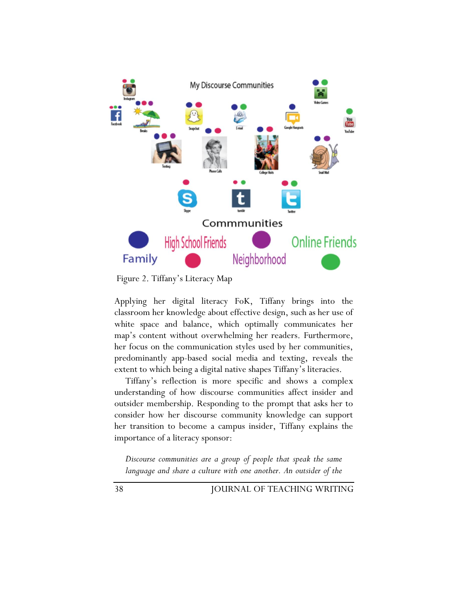

Figure 2. Tiffany's Literacy Map

Applying her digital literacy FoK, Tiffany brings into the classroom her knowledge about effective design, such as her use of white space and balance, which optimally communicates her map's content without overwhelming her readers. Furthermore, her focus on the communication styles used by her communities, predominantly app-based social media and texting, reveals the extent to which being a digital native shapes Tiffany's literacies.

Tiffany's reflection is more specific and shows a complex understanding of how discourse communities affect insider and outsider membership. Responding to the prompt that asks her to consider how her discourse community knowledge can support her transition to become a campus insider, Tiffany explains the importance of a literacy sponsor:

*Discourse communities are a group of people that speak the same language and share a culture with one another. An outsider of the*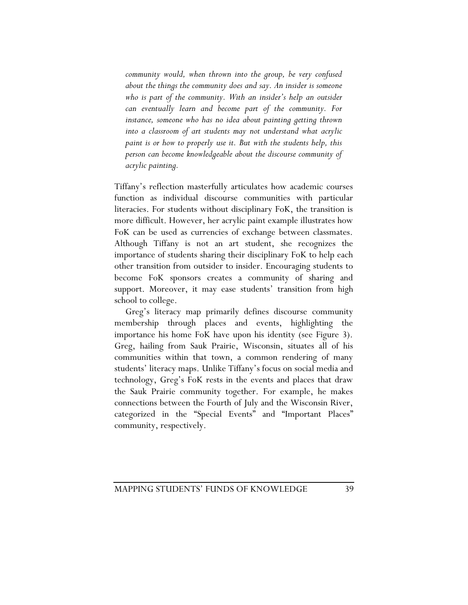*community would, when thrown into the group, be very confused about the things the community does and say. An insider is someone who is part of the community. With an insider's help an outsider can eventually learn and become part of the community. For instance, someone who has no idea about painting getting thrown into a classroom of art students may not understand what acrylic paint is or how to properly use it. But with the students help, this person can become knowledgeable about the discourse community of acrylic painting.*

Tiffany's reflection masterfully articulates how academic courses function as individual discourse communities with particular literacies. For students without disciplinary FoK, the transition is more difficult. However, her acrylic paint example illustrates how FoK can be used as currencies of exchange between classmates. Although Tiffany is not an art student, she recognizes the importance of students sharing their disciplinary FoK to help each other transition from outsider to insider. Encouraging students to become FoK sponsors creates a community of sharing and support. Moreover, it may ease students' transition from high school to college.

Greg's literacy map primarily defines discourse community membership through places and events, highlighting the importance his home FoK have upon his identity (see Figure 3). Greg, hailing from Sauk Prairie, Wisconsin, situates all of his communities within that town, a common rendering of many students' literacy maps. Unlike Tiffany's focus on social media and technology, Greg's FoK rests in the events and places that draw the Sauk Prairie community together. For example, he makes connections between the Fourth of July and the Wisconsin River, categorized in the "Special Events" and "Important Places" community, respectively.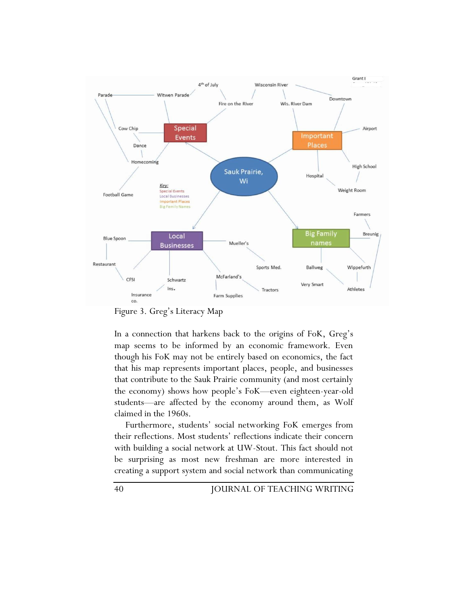

Figure 3. Greg's Literacy Map

In a connection that harkens back to the origins of FoK, Greg's map seems to be informed by an economic framework. Even though his FoK may not be entirely based on economics, the fact that his map represents important places, people, and businesses that contribute to the Sauk Prairie community (and most certainly the economy) shows how people's FoK—even eighteen-year-old students—are affected by the economy around them, as Wolf claimed in the 1960s.

Furthermore, students' social networking FoK emerges from their reflections. Most students' reflections indicate their concern with building a social network at UW-Stout. This fact should not be surprising as most new freshman are more interested in creating a support system and social network than communicating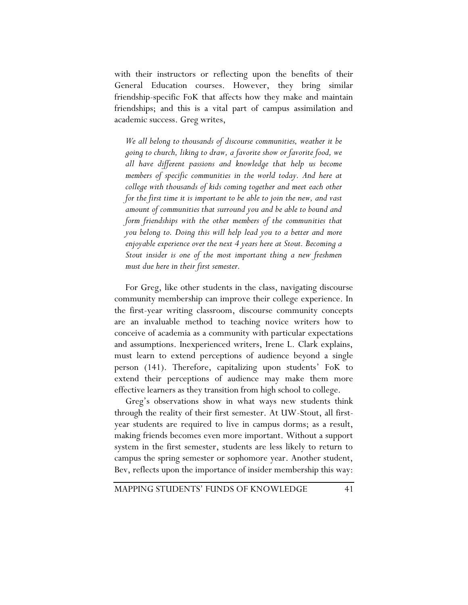with their instructors or reflecting upon the benefits of their General Education courses. However, they bring similar friendship-specific FoK that affects how they make and maintain friendships; and this is a vital part of campus assimilation and academic success. Greg writes,

*We all belong to thousands of discourse communities, weather it be going to church, liking to draw, a favorite show or favorite food, we all have different passions and knowledge that help us become members of specific communities in the world today. And here at college with thousands of kids coming together and meet each other for the first time it is important to be able to join the new, and vast amount of communities that surround you and be able to bound and form friendships with the other members of the communities that you belong to. Doing this will help lead you to a better and more enjoyable experience over the next 4 years here at Stout. Becoming a Stout insider is one of the most important thing a new freshmen must due here in their first semester.*

For Greg, like other students in the class, navigating discourse community membership can improve their college experience. In the first-year writing classroom, discourse community concepts are an invaluable method to teaching novice writers how to conceive of academia as a community with particular expectations and assumptions. Inexperienced writers, Irene L. Clark explains, must learn to extend perceptions of audience beyond a single person (141). Therefore, capitalizing upon students' FoK to extend their perceptions of audience may make them more effective learners as they transition from high school to college.

Greg's observations show in what ways new students think through the reality of their first semester. At UW-Stout, all firstyear students are required to live in campus dorms; as a result, making friends becomes even more important. Without a support system in the first semester, students are less likely to return to campus the spring semester or sophomore year. Another student, Bev, reflects upon the importance of insider membership this way: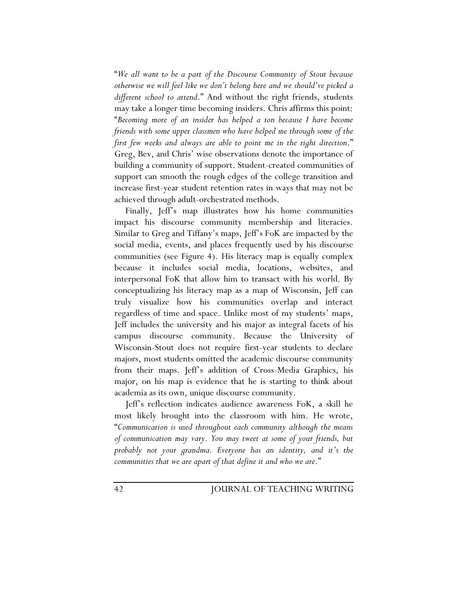"*We all want to be a part of the Discourse Community of Stout because otherwise we will feel like we don't belong here and we should've picked a different school to attend*." And without the right friends, students may take a longer time becoming insiders. Chris affirms this point: "*Becoming more of an insider has helped a ton because I have become friends with some upper classmen who have helped me through some of the first few weeks and always are able to point me in the right direction*." Greg, Bev, and Chris' wise observations denote the importance of building a community of support. Student-created communities of support can smooth the rough edges of the college transition and increase first-year student retention rates in ways that may not be achieved through adult-orchestrated methods.

Finally, Jeff's map illustrates how his home communities impact his discourse community membership and literacies. Similar to Greg and Tiffany's maps, Jeff's FoK are impacted by the social media, events, and places frequently used by his discourse communities (see Figure 4). His literacy map is equally complex because it includes social media, locations, websites, and interpersonal FoK that allow him to transact with his world. By conceptualizing his literacy map as a map of Wisconsin, Jeff can truly visualize how his communities overlap and interact regardless of time and space. Unlike most of my students' maps, Jeff includes the university and his major as integral facets of his campus discourse community. Because the University of Wisconsin-Stout does not require first-year students to declare majors, most students omitted the academic discourse community from their maps. Jeff's addition of Cross-Media Graphics, his major, on his map is evidence that he is starting to think about academia as its own, unique discourse community.

Jeff's reflection indicates audience awareness FoK, a skill he most likely brought into the classroom with him. He wrote, "*Communication is used throughout each community although the means of communication may vary. You may tweet at some of your friends, but probably not your grandma. Everyone has an identity, and it's the communities that we are apart of that define it and who we are*."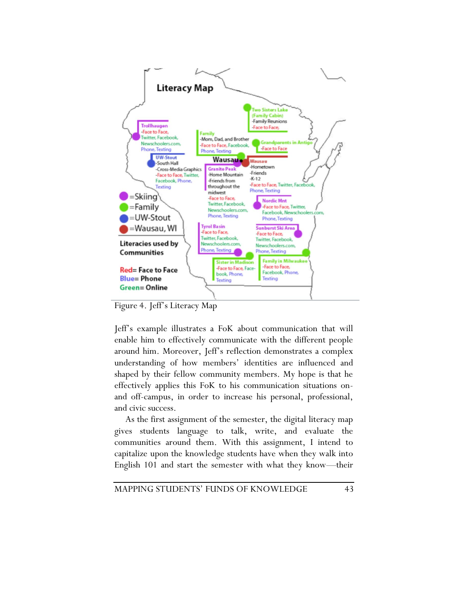

Figure 4. Jeff's Literacy Map

Jeff's example illustrates a FoK about communication that will enable him to effectively communicate with the different people around him. Moreover, Jeff's reflection demonstrates a complex understanding of how members' identities are influenced and shaped by their fellow community members. My hope is that he effectively applies this FoK to his communication situations onand off-campus, in order to increase his personal, professional, and civic success.

As the first assignment of the semester, the digital literacy map gives students language to talk, write, and evaluate the communities around them. With this assignment, I intend to capitalize upon the knowledge students have when they walk into English 101 and start the semester with what they know—their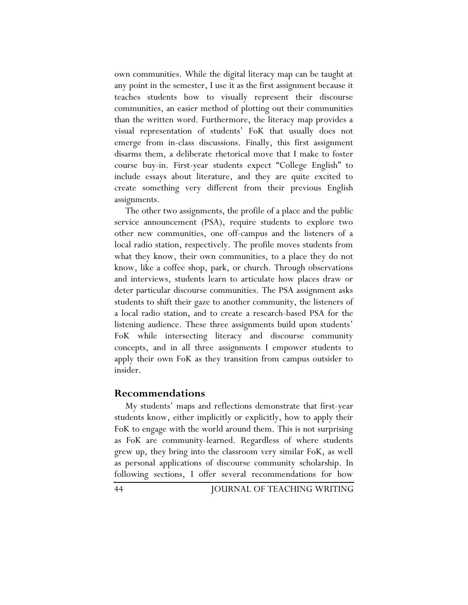own communities. While the digital literacy map can be taught at any point in the semester, I use it as the first assignment because it teaches students how to visually represent their discourse communities, an easier method of plotting out their communities than the written word. Furthermore, the literacy map provides a visual representation of students' FoK that usually does not emerge from in-class discussions. Finally, this first assignment disarms them, a deliberate rhetorical move that I make to foster course buy-in. First-year students expect "College English" to include essays about literature, and they are quite excited to create something very different from their previous English assignments.

The other two assignments, the profile of a place and the public service announcement (PSA), require students to explore two other new communities, one off-campus and the listeners of a local radio station, respectively. The profile moves students from what they know, their own communities, to a place they do not know, like a coffee shop, park, or church. Through observations and interviews, students learn to articulate how places draw or deter particular discourse communities. The PSA assignment asks students to shift their gaze to another community, the listeners of a local radio station, and to create a research-based PSA for the listening audience. These three assignments build upon students' FoK while intersecting literacy and discourse community concepts, and in all three assignments I empower students to apply their own FoK as they transition from campus outsider to insider.

## **Recommendations**

My students' maps and reflections demonstrate that first-year students know, either implicitly or explicitly, how to apply their FoK to engage with the world around them. This is not surprising as FoK are community-learned. Regardless of where students grew up, they bring into the classroom very similar FoK, as well as personal applications of discourse community scholarship. In following sections, I offer several recommendations for how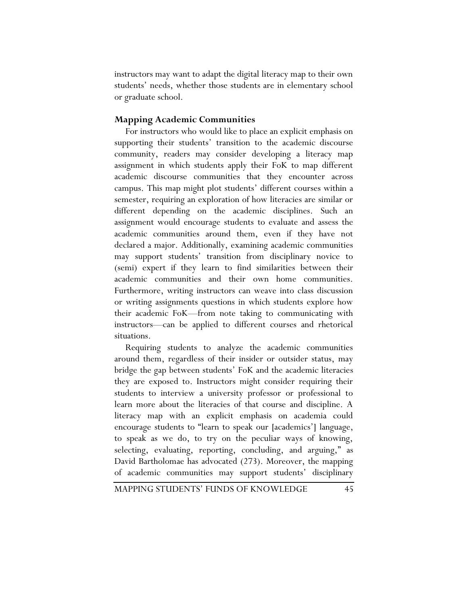instructors may want to adapt the digital literacy map to their own students' needs, whether those students are in elementary school or graduate school.

# **Mapping Academic Communities**

For instructors who would like to place an explicit emphasis on supporting their students' transition to the academic discourse community, readers may consider developing a literacy map assignment in which students apply their FoK to map different academic discourse communities that they encounter across campus. This map might plot students' different courses within a semester, requiring an exploration of how literacies are similar or different depending on the academic disciplines. Such an assignment would encourage students to evaluate and assess the academic communities around them, even if they have not declared a major. Additionally, examining academic communities may support students' transition from disciplinary novice to (semi) expert if they learn to find similarities between their academic communities and their own home communities. Furthermore, writing instructors can weave into class discussion or writing assignments questions in which students explore how their academic FoK—from note taking to communicating with instructors—can be applied to different courses and rhetorical situations.

Requiring students to analyze the academic communities around them, regardless of their insider or outsider status, may bridge the gap between students' FoK and the academic literacies they are exposed to. Instructors might consider requiring their students to interview a university professor or professional to learn more about the literacies of that course and discipline. A literacy map with an explicit emphasis on academia could encourage students to "learn to speak our [academics'] language, to speak as we do, to try on the peculiar ways of knowing, selecting, evaluating, reporting, concluding, and arguing," as David Bartholomae has advocated (273). Moreover, the mapping of academic communities may support students' disciplinary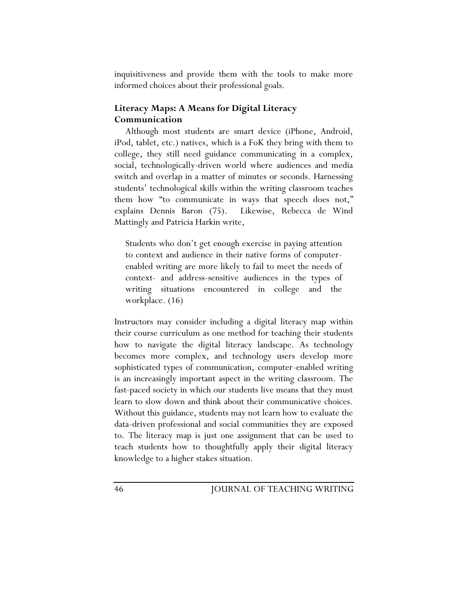inquisitiveness and provide them with the tools to make more informed choices about their professional goals.

# **Literacy Maps: A Means for Digital Literacy Communication**

Although most students are smart device (iPhone, Android, iPod, tablet, etc.) natives, which is a FoK they bring with them to college, they still need guidance communicating in a complex, social, technologically-driven world where audiences and media switch and overlap in a matter of minutes or seconds. Harnessing students' technological skills within the writing classroom teaches them how "to communicate in ways that speech does not," explains Dennis Baron (75). Likewise, Rebecca de Wind Mattingly and Patricia Harkin write,

Students who don't get enough exercise in paying attention to context and audience in their native forms of computerenabled writing are more likely to fail to meet the needs of context- and address-sensitive audiences in the types of writing situations encountered in college and the workplace. (16)

Instructors may consider including a digital literacy map within their course curriculum as one method for teaching their students how to navigate the digital literacy landscape. As technology becomes more complex, and technology users develop more sophisticated types of communication, computer-enabled writing is an increasingly important aspect in the writing classroom. The fast-paced society in which our students live means that they must learn to slow down and think about their communicative choices. Without this guidance, students may not learn how to evaluate the data-driven professional and social communities they are exposed to. The literacy map is just one assignment that can be used to teach students how to thoughtfully apply their digital literacy knowledge to a higher stakes situation.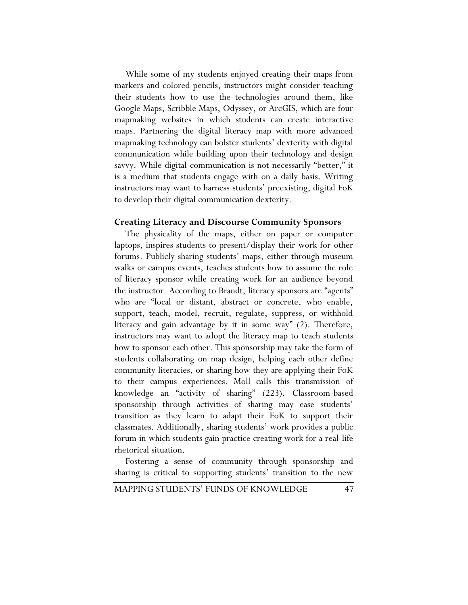While some of my students enjoyed creating their maps from markers and colored pencils, instructors might consider teaching their students how to use the technologies around them, like Google Maps, Scribble Maps, Odyssey, or ArcGIS, which are four mapmaking websites in which students can create interactive maps. Partnering the digital literacy map with more advanced mapmaking technology can bolster students' dexterity with digital communication while building upon their technology and design savvy. While digital communication is not necessarily "better," it is a medium that students engage with on a daily basis. Writing instructors may want to harness students' preexisting, digital FoK to develop their digital communication dexterity.

#### **Creating Literacy and Discourse Community Sponsors**

The physicality of the maps, either on paper or computer laptops, inspires students to present/display their work for other forums. Publicly sharing students' maps, either through museum walks or campus events, teaches students how to assume the role of literacy sponsor while creating work for an audience beyond the instructor. According to Brandt, literacy sponsors are "agents" who are "local or distant, abstract or concrete, who enable, support, teach, model, recruit, regulate, suppress, or withhold literacy and gain advantage by it in some way" (2). Therefore, instructors may want to adopt the literacy map to teach students how to sponsor each other. This sponsorship may take the form of students collaborating on map design, helping each other define community literacies, or sharing how they are applying their FoK to their campus experiences. Moll calls this transmission of knowledge an "activity of sharing" (223). Classroom-based sponsorship through activities of sharing may ease students' transition as they learn to adapt their FoK to support their classmates. Additionally, sharing students' work provides a public forum in which students gain practice creating work for a real-life rhetorical situation.

Fostering a sense of community through sponsorship and sharing is critical to supporting students' transition to the new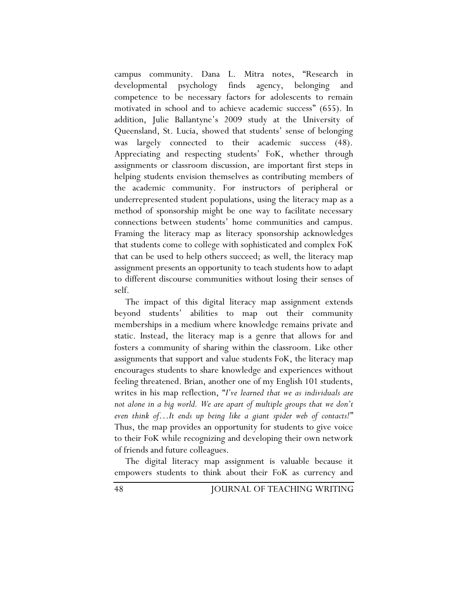campus community. Dana L. Mitra notes, "Research in developmental psychology finds agency, belonging and competence to be necessary factors for adolescents to remain motivated in school and to achieve academic success" (655). In addition, Julie Ballantyne's 2009 study at the University of Queensland, St. Lucia, showed that students' sense of belonging was largely connected to their academic success (48). Appreciating and respecting students' FoK, whether through assignments or classroom discussion, are important first steps in helping students envision themselves as contributing members of the academic community. For instructors of peripheral or underrepresented student populations, using the literacy map as a method of sponsorship might be one way to facilitate necessary connections between students' home communities and campus. Framing the literacy map as literacy sponsorship acknowledges that students come to college with sophisticated and complex FoK that can be used to help others succeed; as well, the literacy map assignment presents an opportunity to teach students how to adapt to different discourse communities without losing their senses of self.

The impact of this digital literacy map assignment extends beyond students' abilities to map out their community memberships in a medium where knowledge remains private and static. Instead, the literacy map is a genre that allows for and fosters a community of sharing within the classroom. Like other assignments that support and value students FoK, the literacy map encourages students to share knowledge and experiences without feeling threatened. Brian, another one of my English 101 students, writes in his map reflection, "*I've learned that we as individuals are not alone in a big world. We are apart of multiple groups that we don't even think of…It ends up being like a giant spider web of contacts!*" Thus, the map provides an opportunity for students to give voice to their FoK while recognizing and developing their own network of friends and future colleagues.

The digital literacy map assignment is valuable because it empowers students to think about their FoK as currency and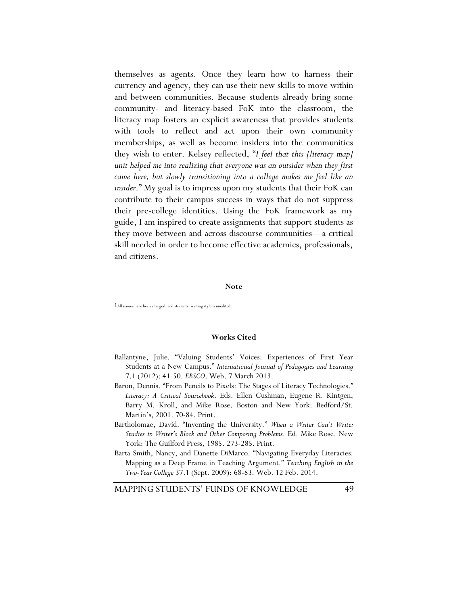themselves as agents. Once they learn how to harness their currency and agency, they can use their new skills to move within and between communities. Because students already bring some community- and literacy-based FoK into the classroom, the literacy map fosters an explicit awareness that provides students with tools to reflect and act upon their own community memberships, as well as become insiders into the communities they wish to enter. Kelsey reflected, "*I feel that this [literacy map] unit helped me into realizing that everyone was an outsider when they first came here, but slowly transitioning into a college makes me feel like an insider*." My goal is to impress upon my students that their FoK can contribute to their campus success in ways that do not suppress their pre-college identities. Using the FoK framework as my guide, I am inspired to create assignments that support students as they move between and across discourse communities—a critical skill needed in order to become effective academics, professionals, and citizens.

#### **Note**

1All names have been changed, and students' writing style is unedited.

#### **Works Cited**

- Ballantyne, Julie. "Valuing Students' Voices: Experiences of First Year Students at a New Campus." *International Journal of Pedagogies and Learning* 7.1 (2012): 41-50. *EBSCO*. Web. 7 March 2013.
- Baron, Dennis. "From Pencils to Pixels: The Stages of Literacy Technologies." *Literacy: A Critical Sourcebook*. Eds. Ellen Cushman, Eugene R. Kintgen, Barry M. Kroll, and Mike Rose. Boston and New York: Bedford/St. Martin's, 2001. 70-84. Print.
- Bartholomae, David. "Inventing the University." *When a Writer Can't Write: Studies in Writer's Block and Other Composing Problems*. Ed. Mike Rose. New York: The Guilford Press, 1985. 273-285. Print.
- Barta-Smith, Nancy, and Danette DiMarco. "Navigating Everyday Literacies: Mapping as a Deep Frame in Teaching Argument." *Teaching English in the Two-Year College* 37.1 (Sept. 2009): 68-83. Web. 12 Feb. 2014.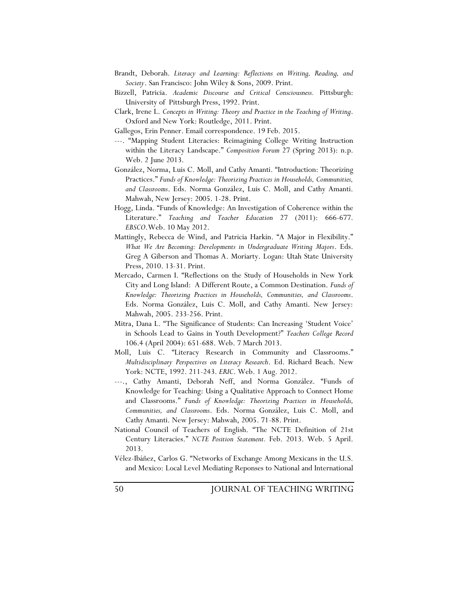- Brandt, Deborah. *Literacy and Learning: Reflections on Writing, Reading, and Society*. San Francisco: John Wiley & Sons, 2009. Print.
- Bizzell, Patricia. *Academic Discourse and Critical Consciousness.* Pittsburgh: University of Pittsburgh Press, 1992. Print.
- Clark, Irene L. *Concepts in Writing: Theory and Practice in the Teaching of Writing*. Oxford and New York: Routledge, 2011. Print.
- Gallegos, Erin Penner. Email correspondence. 19 Feb. 2015.
- ---. "Mapping Student Literacies: Reimagining College Writing Instruction within the Literacy Landscape." *Composition Forum* 27 (Spring 2013): n.p. Web. 2 June 2013.
- González, Norma, Luis C. Moll, and Cathy Amanti. "Introduction: Theorizing Practices." *Funds of Knowledge: Theorizing Practices in Households, Communities, and Classrooms*. Eds. Norma González, Luis C. Moll, and Cathy Amanti. Mahwah, New Jersey: 2005. 1-28. Print.
- Hogg, Linda. "Funds of Knowledge: An Investigation of Coherence within the Literature." *Teaching and Teacher Education* 27 (2011): 666-677. *EBSCO*.Web. 10 May 2012.
- Mattingly, Rebecca de Wind, and Patricia Harkin. "A Major in Flexibility." *What We Are Becoming: Developments in Undergraduate Writing Majors*. Eds. Greg A Giberson and Thomas A. Moriarty. Logan: Utah State University Press, 2010. 13-31. Print.
- Mercado, Carmen I. "Reflections on the Study of Households in New York City and Long Island: A Different Route, a Common Destination. *Funds of Knowledge: Theorizing Practices in Households, Communities, and Classrooms*. Eds. Norma González, Luis C. Moll, and Cathy Amanti. New Jersey: Mahwah, 2005. 233-256. Print.
- Mitra, Dana L. "The Significance of Students: Can Increasing 'Student Voice' in Schools Lead to Gains in Youth Development?" *Teachers College Record* 106.4 (April 2004): 651-688. Web. 7 March 2013.
- Moll, Luis C. "Literacy Research in Community and Classrooms." *Multidisciplinary Perspectives on Literacy Research*. Ed. Richard Beach. New York: NCTE, 1992. 211-243. *ERIC*. Web. 1 Aug. 2012.
- ---., Cathy Amanti, Deborah Neff, and Norma González. "Funds of Knowledge for Teaching: Using a Qualitative Approach to Connect Home and Classrooms." *Funds of Knowledge: Theorizing Practices in Households, Communities, and Classrooms*. Eds. Norma González, Luis C. Moll, and Cathy Amanti. New Jersey: Mahwah, 2005. 71-88. Print.
- National Council of Teachers of English. "The NCTE Definition of 21st Century Literacies." *NCTE Position Statement.* Feb. 2013. Web. 5 April. 2013.
- Vélez-Ibáñez, Carlos G. "Networks of Exchange Among Mexicans in the U.S. and Mexico: Local Level Mediating Reponses to National and International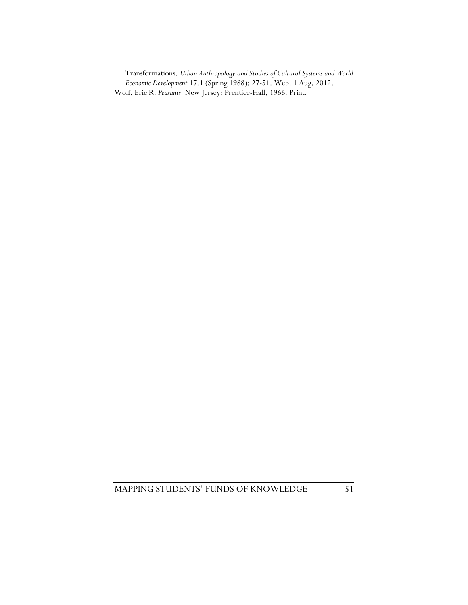Transformations. *Urban Anthropology and Studies of Cultural Systems and World Economic Development* 17.1 (Spring 1988): 27-51. Web. 1 Aug. 2012. Wolf, Eric R. *Peasants*. New Jersey: Prentice-Hall, 1966. Print.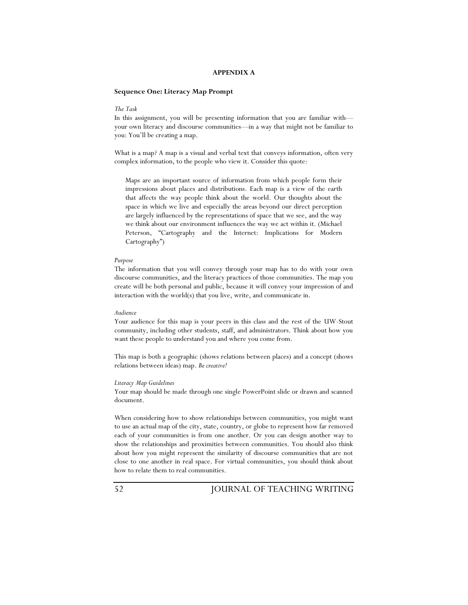#### **APPENDIX A**

#### **Sequence One: Literacy Map Prompt**

#### *The Task*

In this assignment, you will be presenting information that you are familiar with your own literacy and discourse communities—in a way that might not be familiar to you: You'll be creating a map.

What is a map? A map is a visual and verbal text that conveys information, often very complex information, to the people who view it. Consider this quote:

Maps are an important source of information from which people form their impressions about places and distributions. Each map is a view of the earth that affects the way people think about the world. Our thoughts about the space in which we live and especially the areas beyond our direct perception are largely influenced by the representations of space that we see, and the way we think about our environment influences the way we act within it. (Michael Peterson, "Cartography and the Internet: Implications for Modern Cartography")

#### *Purpose*

The information that you will convey through your map has to do with your own discourse communities, and the literacy practices of those communities. The map you create will be both personal and public, because it will convey your impression of and interaction with the world(s) that you live, write, and communicate in.

#### *Audience*

Your audience for this map is your peers in this class and the rest of the UW-Stout community, including other students, staff, and administrators. Think about how you want these people to understand you and where you come from.

This map is both a geographic (shows relations between places) and a concept (shows relations between ideas) map. *Be creative!*

#### *Literacy Map Guidelines*

Your map should be made through one single PowerPoint slide or drawn and scanned document.

When considering how to show relationships between communities, you might want to use an actual map of the city, state, country, or globe to represent how far removed each of your communities is from one another. Or you can design another way to show the relationships and proximities between communities. You should also think about how you might represent the similarity of discourse communities that are not close to one another in real space. For virtual communities, you should think about how to relate them to real communities.